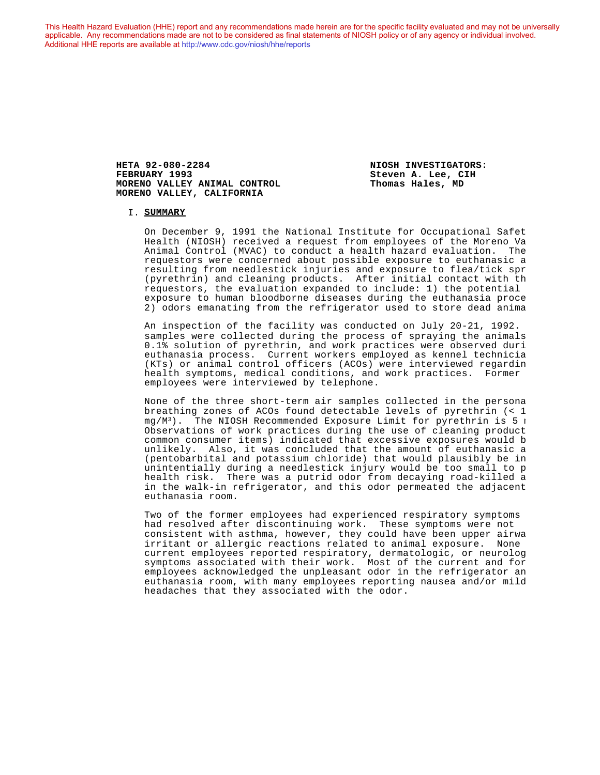This Health Hazard Evaluation (HHE) report and any recommendations made herein are for the specific facility evaluated and may not be universally applicable. Any recommendations made are not to be considered as final statements of NIOSH policy or of any agency or individual involved. Additional HHE reports are available at <http://www.cdc.gov/niosh/hhe/reports> Additional HHE reports are available at <http://www.cdc.gov/niosh/hhe/reports>

> **HETA 92-080-2284 NIOSH INVESTIGATORS: MORENO VALLEY ANIMAL CONTROL MORENO VALLEY, CALIFORNIA**

**Steven A. Lee, CIH**<br>Thomas Hales, MD

#### I. **SUMMARY**

On December 9, 1991 the National Institute for Occupational Safet Health (NIOSH) received a request from employees of the Moreno Va Animal Control (MVAC) to conduct a health hazard evaluation. The requestors were concerned about possible exposure to euthanasic a resulting from needlestick injuries and exposure to flea/tick spr (pyrethrin) and cleaning products. After initial contact with th requestors, the evaluation expanded to include: 1) the potential exposure to human bloodborne diseases during the euthanasia proce 2) odors emanating from the refrigerator used to store dead anima

An inspection of the facility was conducted on July 20-21, 1992. samples were collected during the process of spraying the animals 0.1% solution of pyrethrin, and work practices were observed duri euthanasia process. Current workers employed as kennel technicia (KTs) or animal control officers (ACOs) were interviewed regarding health symptoms, medical conditions, and work practices. Former employees were interviewed by telephone.

None of the three short-term air samples collected in the persona breathing zones of ACOs found detectable levels of pyrethrin (< 1  $mg/M^3$ ). The NIOSH Recommended Exposure Limit for pyrethrin is 5  $m<sub>1</sub>$ Observations of work practices during the use of cleaning product common consumer items) indicated that excessive exposures would be unlikely. Also, it was concluded that the amount of euthanasic a  $(pentobarbital and potassium chloride)$  that would plausibly be in unintentially during a needlestick injury would be too small to p health risk. There was a putrid odor from decaying road-killed a in the walk-in refrigerator, and this odor permeated the adjacent euthanasia room.

Two of the former employees had experienced respiratory symptoms had resolved after discontinuing work. These symptoms were not consistent with asthma, however, they could have been upper airwa irritant or allergic reactions related to animal exposure. None current employees reported respiratory, dermatologic, or neurolog symptoms associated with their work. Most of the current and for employees acknowledged the unpleasant odor in the refrigerator an euthanasia room, with many employees reporting nausea and/or mild headaches that they associated with the odor.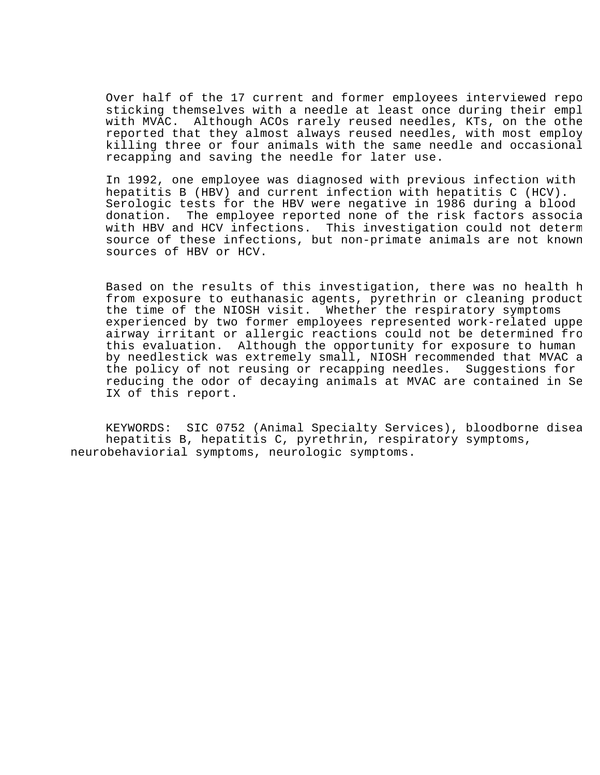Over half of the 17 current and former employees interviewed repo sticking themselves with a needle at least once during their empl with MVAC. Although ACOs rarely reused needles, KTs, on the othe reported that they almost always reused needles, with most employ killing three or four animals with the same needle and occasional recapping and saving the needle for later use.

In 1992, one employee was diagnosed with previous infection with hepatitis B (HBV) and current infection with hepatitis C (HCV). Serologic tests for the HBV were negative in 1986 during a blood donation. The employee reported none of the risk factors associa with HBV and HCV infections. This investigation could not determ source of these infections, but non-primate animals are not known sources of HBV or HCV.

Based on the results of this investigation, there was no health h from exposure to euthanasic agents, pyrethrin or cleaning product the time of the NIOSH visit. Whether the respiratory symptoms experienced by two former employees represented work-related uppe airway irritant or allergic reactions could not be determined from this evaluation. Although the opportunity for exposure to human by needlestick was extremely small, NIOSH recommended that MVAC a the policy of not reusing or recapping needles. Suggestions for reducing the odor of decaying animals at MVAC are contained in Se IX of this report.

KEYWORDS: SIC 0752 (Animal Specialty Services), bloodborne disea hepatitis B, hepatitis C, pyrethrin, respiratory symptoms, neurobehaviorial symptoms, neurologic symptoms.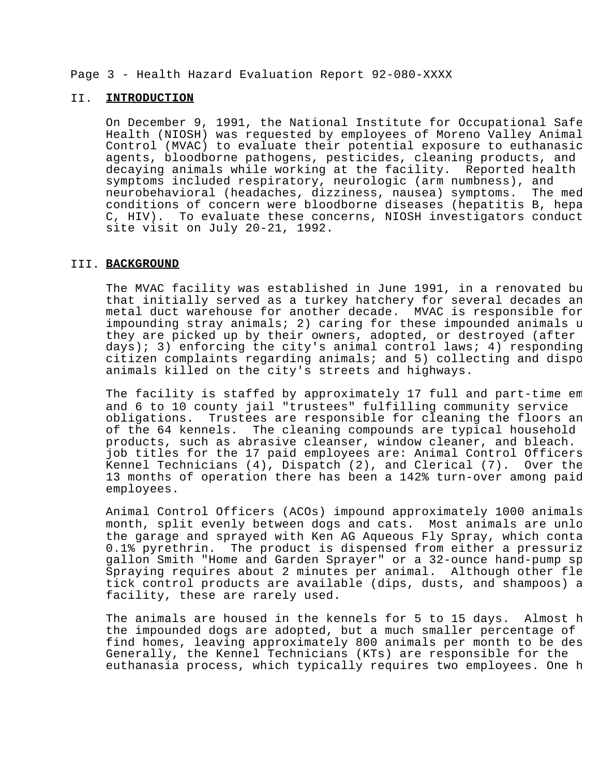### Page 3 - Health Hazard Evaluation Report 92-080-XXXX

### II. **INTRODUCTION**

On December 9, 1991, the National Institute for Occupational Safe Health (NIOSH) was requested by employees of Moreno Valley Animal Control (MVAC) to evaluate their potential exposure to euthanasic agents, bloodborne pathogens, pesticides, cleaning products, and decaying animals while working at the facility. Reported health symptoms included respiratory, neurologic (arm numbness), and neurobehavioral (headaches, dizziness, nausea) symptoms. The med conditions of concern were bloodborne diseases (hepatitis B, hepa C, HIV). To evaluate these concerns, NIOSH investigators conduct site visit on July 20-21, 1992.

### III. **BACKGROUND**

The MVAC facility was established in June 1991, in a renovated bu that initially served as a turkey hatchery for several decades an metal duct warehouse for another decade. MVAC is responsible for impounding stray animals; 2) caring for these impounded animals  $u$ they are picked up by their owners, adopted, or destroyed (after days); 3) enforcing the city's animal control laws; 4) responding citizen complaints regarding animals; and  $5$ ) collecting and dispo animals killed on the city's streets and highways.

The facility is staffed by approximately 17 full and part-time em and 6 to 10 county jail "trustees" fulfilling community service obligations. Trustees are responsible for cleaning the floors an of the 64 kennels. The cleaning compounds are typical household products, such as abrasive cleanser, window cleaner, and bleach. job titles for the 17 paid employees are: Animal Control Officers Kennel Technicians  $(4)$ , Dispatch  $(2)$ , and Clerical  $(7)$ . Over the 13 months of operation there has been a 142% turn-over among paid employees.

Animal Control Officers (ACOs) impound approximately 1000 animals month, split evenly between dogs and cats. Most animals are unlo the garage and sprayed with Ken AG Aqueous Fly Spray, which conta<br>0.1% pyrethrin. The product is dispensed from either a pressuriz The product is dispensed from either a pressuriz gallon Smith "Home and Garden Sprayer" or a 32-ounce hand-pump sprayer. Spraying requires about 2 minutes per animal. Although other fle tick control products are available (dips, dusts, and shampoos) a facility, these are rarely used.

The animals are housed in the kennels for 5 to 15 days. Almost h the impounded dogs are adopted, but a much smaller percentage of find homes, leaving approximately 800 animals per month to be des Generally, the Kennel Technicians (KTs) are responsible for the euthanasia process, which typically requires two employees. One h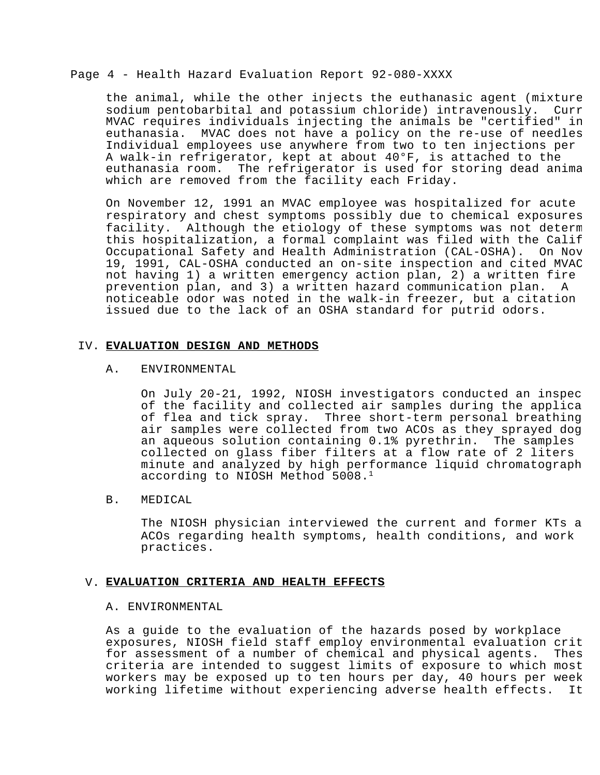### Page 4 - Health Hazard Evaluation Report 92-080-XXXX

the animal, while the other injects the euthanasic agent (mixture sodium pentobarbital and potassium chloride) intravenously. Curr MVAC requires individuals injecting the animals be "certified" in euthanasia. MVAC does not have a policy on the re-use of needles. Individual employees use anywhere from two to ten injections per A walk-in refrigerator, kept at about 40°F, is attached to the euthanasia room. The refrigerator is used for storing dead anima which are removed from the facility each Friday.

On November 12, 1991 an MVAC employee was hospitalized for acute respiratory and chest symptoms possibly due to chemical exposures facility. Although the etiology of these symptoms was not determ this hospitalization, a formal complaint was filed with the Calif Occupational Safety and Health Administration (CAL-OSHA). On Nov 19, 1991, CAL-OSHA conducted an on-site inspection and cited MVAC not having 1) a written emergency action plan, 2) a written fire prevention plan, and 3) a written hazard communication plan. A noticeable odor was noted in the walk-in freezer, but a citation issued due to the lack of an OSHA standard for putrid odors.

# IV. **EVALUATION DESIGN AND METHODS**

### A. ENVIRONMENTAL

On July 20-21, 1992, NIOSH investigators conducted an inspec of the facility and collected air samples during the applica of flea and tick spray. Three short-term personal breathing air samples were collected from two ACOs as they sprayed dog an aqueous solution containing 0.1% pyrethrin. The samples collected on glass fiber filters at a flow rate of 2 liters minute and analyzed by high performance liquid chromatograph according to NIOSH Method 5008.<sup>1</sup>

# B. MEDICAL

The NIOSH physician interviewed the current and former KTs a ACOs regarding health symptoms, health conditions, and work practices.

### V. **EVALUATION CRITERIA AND HEALTH EFFECTS**

### A. ENVIRONMENTAL

As a guide to the evaluation of the hazards posed by workplace exposures, NIOSH field staff employ environmental evaluation crit<br>for assessment of a number of chemical and physical agents. Thes for assessment of a number of chemical and physical agents. criteria are intended to suggest limits of exposure to which most workers may be exposed up to ten hours per day, 40 hours per week working lifetime without experiencing adverse health effects. It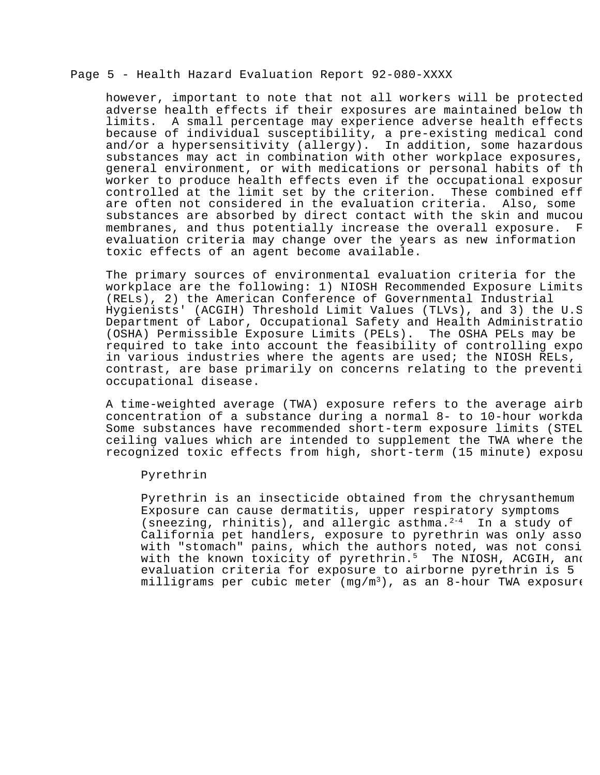# Page 5 - Health Hazard Evaluation Report 92-080-XXXX

however, important to note that not all workers will be protected adverse health effects if their exposures are maintained below th limits. A small percentage may experience adverse health effects because of individual susceptibility, a pre-existing medical cond and/or a hypersensitivity (allergy). In addition, some hazardous substances may act in combination with other workplace exposures, general environment, or with medications or personal habits of th worker to produce health effects even if the occupational exposur controlled at the limit set by the criterion. These combined eff are often not considered in the evaluation criteria. Also, some substances are absorbed by direct contact with the skin and mucou membranes, and thus potentially increase the overall exposure. F evaluation criteria may change over the years as new information toxic effects of an agent become available.

The primary sources of environmental evaluation criteria for the workplace are the following: 1) NIOSH Recommended Exposure Limits (RELs), 2) the American Conference of Governmental Industrial Hygienists' (ACGIH) Threshold Limit Values (TLVs), and 3) the U.S. Department of Labor, Occupational Safety and Health Administration (OSHA) Permissible Exposure Limits (PELs). The OSHA PELs may be required to take into account the feasibility of controlling expo in various industries where the agents are used; the NIOSH RELs, contrast, are base primarily on concerns relating to the prevention occupational disease.

A time-weighted average (TWA) exposure refers to the average airb concentration of a substance during a normal 8- to 10-hour workday. Some substances have recommended short-term exposure limits (STEL ceiling values which are intended to supplement the TWA where the recognized toxic effects from high, short-term (15 minute) exposu

### Pyrethrin

Pyrethrin is an insecticide obtained from the chrysanthemum Exposure can cause dermatitis, upper respiratory symptoms (sneezing, rhinitis), and allergic asthma.<sup>2-4</sup> In a study of California pet handlers, exposure to pyrethrin was only asso with "stomach" pains, which the authors noted, was not consi with the known toxicity of pyrethrin.<sup>5</sup> The NIOSH, ACGIH, and evaluation criteria for exposure to airborne pyrethrin is 5 milligrams per cubic meter (mg/m<sup>3</sup>), as an 8-hour TWA exposure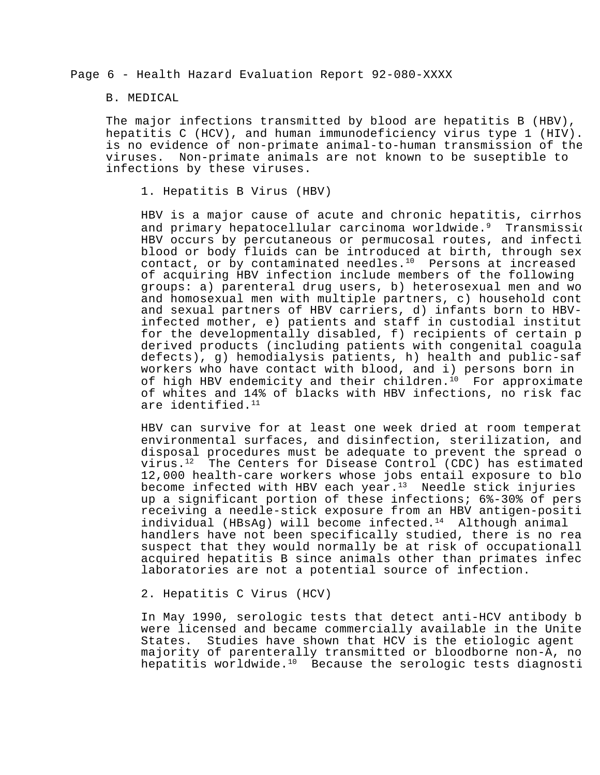Page 6 - Health Hazard Evaluation Report 92-080-XXXX

### B. MEDICAL

The major infections transmitted by blood are hepatitis B (HBV), hepatitis C (HCV), and human immunodeficiency virus type  $1$  (HIV). is no evidence of non-primate animal-to-human transmission of the viruses. Non-primate animals are not known to be suseptible to infections by these viruses.

1. Hepatitis B Virus (HBV)

HBV is a major cause of acute and chronic hepatitis, cirrhos and primary hepatocellular carcinoma worldwide. $9$  Transmission HBV occurs by percutaneous or permucosal routes, and infecti blood or body fluids can be introduced at birth, through sex contact, or by contaminated needles. $10$  Persons at increased of acquiring HBV infection include members of the following groups: a) parenteral drug users, b) heterosexual men and wo and homosexual men with multiple partners,  $c$ ) household cont and sexual partners of HBV carriers, d) infants born to HBVinfected mother, e) patients and staff in custodial institut for the developmentally disabled,  $f$ ) recipients of certain  $p$ derived products (including patients with congenital coagula defects), g) hemodialysis patients, h) health and public-saf workers who have contact with  $b$ lood, and i) persons born in of high HBV endemicity and their children.<sup>10</sup> For approximate of whites and 14% of blacks with HBV infections, no risk fac are identified.<sup>11</sup>

HBV can survive for at least one week dried at room temperat environmental surfaces, and disinfection, sterilization, and disposal procedures must be adequate to prevent the spread o virus. $12$  The Centers for Disease Control (CDC) has estimated 12,000 health-care workers whose jobs entail exposure to blo become infected with HBV each year. $13$  Needle stick injuries up a significant portion of these infections; 6%-30% of pers receiving a needle-stick exposure from an HBV antigen-positi individual (HBsAq) will become infected.<sup>14</sup> Although animal handlers have not been specifically studied, there is no rea suspect that they would normally be at risk of occupationall acquired hepatitis B since animals other than primates infec laboratories are not a potential source of infection.

2. Hepatitis C Virus (HCV)

In May 1990, serologic tests that detect anti-HCV antibody b were licensed and became commercially available in the Unite States. Studies have shown that HCV is the etiologic agent majority of parenterally transmitted or bloodborne non-A, no hepatitis worldwide. $10$  Because the serologic tests diagnosti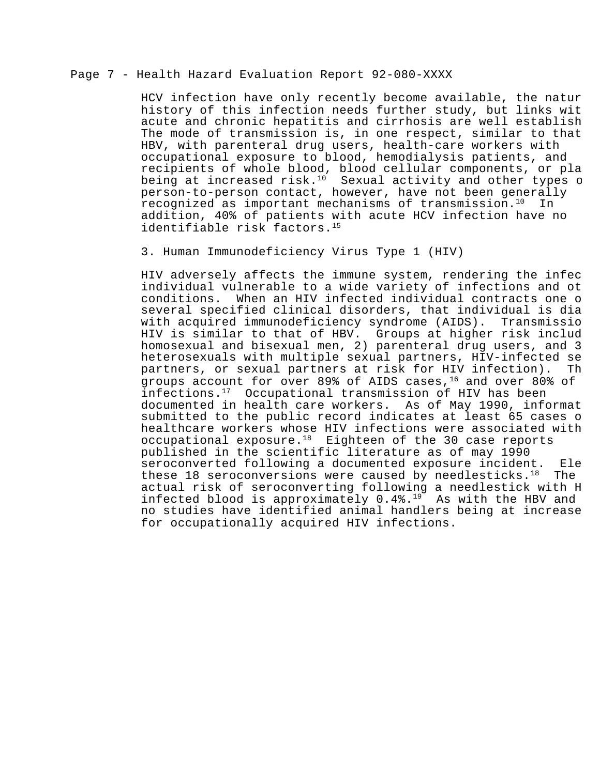# Page 7 - Health Hazard Evaluation Report 92-080-XXXX

HCV infection have only recently become available, the natur history of this infection needs further study, but links with acute and chronic hepatitis and cirrhosis are well establish The mode of transmission is, in one respect, similar to that HBV, with parenteral drug users, health-care workers with occupational exposure to blood, hemodialysis patients, and recipients of whole blood, blood cellular components, or pla being at increased risk.<sup>10</sup> Sexual activity and other types of person-to-person contact, however, have not been generally recognized as important mechanisms of transmission. $10$  In addition, 40% of patients with acute HCV infection have no identifiable risk factors.<sup>15</sup>

### 3. Human Immunodeficiency Virus Type 1 (HIV)

HIV adversely affects the immune system, rendering the infec individual vulnerable to a wide variety of infections and ot conditions. When an HIV infected individual contracts one of several specified clinical disorders, that individual is dia with acquired immunodeficiency syndrome (AIDS). Transmissio HIV is similar to that of HBV. Groups at higher risk includ homosexual and bisexual men, 2) parenteral drug users, and 3) heterosexuals with multiple sexual partners, HIV-infected se partners, or sexual partners at risk for HIV infection). The groups account for over 89% of AIDS cases,  $16$  and over 80% of infections.<sup>17</sup> Occupational transmission of HIV has been documented in health care workers. As of May 1990, informat submitted to the public record indicates at least 65 cases o healthcare workers whose HIV infections were associated with occupational exposure. $18$  Eighteen of the 30 case reports published in the scientific literature as of may 1990 seroconverted following a documented exposure incident. Ele these 18 seroconversions were caused by needlesticks. $18$  The actual risk of seroconverting following a needlestick with H infected blood is approximately  $0.4\$ .<sup>19</sup> As with the HBV and no studies have identified animal handlers being at increase for occupationally acquired HIV infections.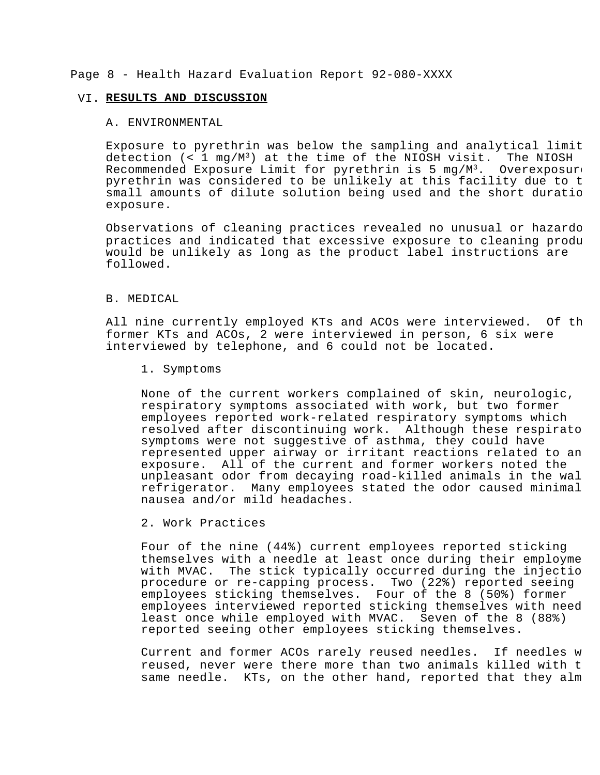# Page 8 - Health Hazard Evaluation Report 92-080-XXXX

#### VI. **RESULTS AND DISCUSSION**

#### A. ENVIRONMENTAL

Exposure to pyrethrin was below the sampling and analytical limit detection  $(< 1 \text{ mg}/\text{M}^3)$  at the time of the NIOSH visit. The NIOSH Recommended Exposure Limit for pyrethrin is 5 mg/M<sup>3</sup>. Overexposure pyrethrin was considered to be unlikely at this facility due to t small amounts of dilute solution being used and the short duratio exposure.

Observations of cleaning practices revealed no unusual or hazardo practices and indicated that excessive exposure to cleaning produ would be unlikely as long as the product label instructions are followed.

### B. MEDICAL

All nine currently employed KTs and ACOs were interviewed. Of th former KTs and ACOs, 2 were interviewed in person, 6 six were interviewed by telephone, and 6 could not be located.

1. Symptoms

None of the current workers complained of skin, neurologic, respiratory symptoms associated with work, but two former employees reported work-related respiratory symptoms which resolved after discontinuing work. Although these respirato symptoms were not suggestive of asthma, they could have represented upper airway or irritant reactions related to an exposure. All of the current and former workers noted the unpleasant odor from decaying road-killed animals in the wal refrigerator. Many employees stated the odor caused minimal nausea and/or mild headaches.

2. Work Practices

Four of the nine (44%) current employees reported sticking themselves with a needle at least once during their employme with MVAC. The stick typically occurred during the injectio procedure or re-capping process. Two  $(22)$  reported seeing employees sticking themselves. Four of the 8 (50%) former employees interviewed reported sticking themselves with need least once while employed with MVAC. Seven of the 8 (88%) reported seeing other employees sticking themselves.

Current and former ACOs rarely reused needles. If needles w reused, never were there more than two animals killed with t same needle. KTs, on the other hand, reported that they alm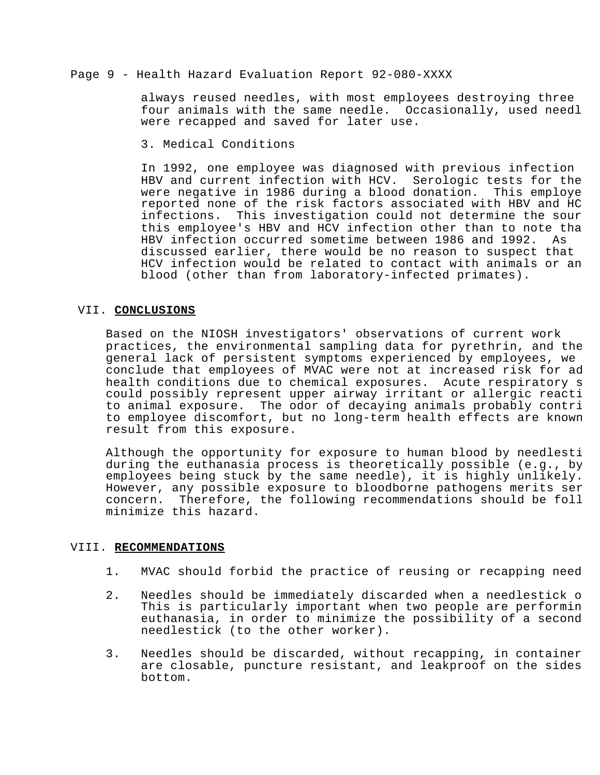# Page 9 - Health Hazard Evaluation Report 92-080-XXXX

always reused needles, with most employees destroying three four animals with the same needle. Occasionally, used needl were recapped and saved for later use.

3. Medical Conditions

In 1992, one employee was diagnosed with previous infection HBV and current infection with HCV. Serologic tests for the were negative in 1986 during a blood donation. This employe reported none of the risk factors associated with HBV and HC infections. This investigation could not determine the sour this employee's HBV and HCV infection other than to note tha HBV infection occurred sometime between 1986 and 1992. As discussed earlier, there would be no reason to suspect that HCV infection would be related to contact with animals or an blood (other than from laboratory-infected primates).

# VII. **CONCLUSIONS**

Based on the NIOSH investigators' observations of current work practices, the environmental sampling data for pyrethrin, and the general lack of persistent symptoms experienced by employees, we conclude that employees of MVAC were not at increased risk for ad health conditions due to chemical exposures. Acute respiratory s could possibly represent upper airway irritant or allergic reactions to animal exposure. The odor of decaying animals probably contri to employee discomfort, but no long-term health effects are known result from this exposure.

Although the opportunity for exposure to human blood by needlesti during the euthanasia process is theoretically possible (e.g., by employees being stuck by the same needle), it is highly unlikely. However, any possible exposure to bloodborne pathogens merits ser concern. Therefore, the following recommendations should be foll minimize this hazard.

# VIII. **RECOMMENDATIONS**

- 1. MVAC should forbid the practice of reusing or recapping need
- 2. Needles should be immediately discarded when a needlestick o This is particularly important when two people are performin euthanasia, in order to minimize the possibility of a second needlestick (to the other worker).
- 3. Needles should be discarded, without recapping, in container are closable, puncture resistant, and leakproof on the sides bottom.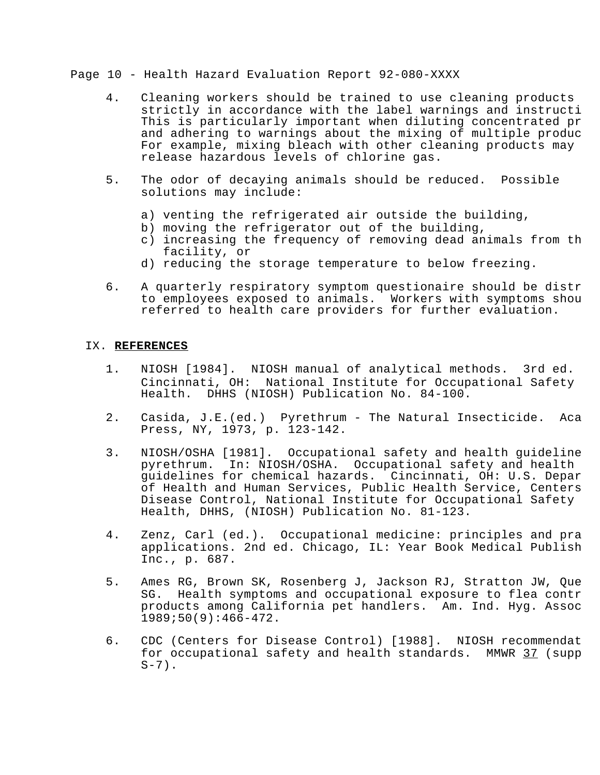# Page 10 - Health Hazard Evaluation Report 92-080-XXXX

- 4. Cleaning workers should be trained to use cleaning products strictly in accordance with the label warnings and instructi This is particularly important when diluting concentrated pr and adhering to warnings about the mixing of multiple produc For example, mixing bleach with other cleaning products may release hazardous levels of chlorine gas.
- 5. The odor of decaying animals should be reduced. Possible solutions may include:
	- a) venting the refrigerated air outside the building,
	- b) moving the refrigerator out of the building,
	- c) increasing the frequency of removing dead animals from th facility, or
	- d) reducing the storage temperature to below freezing.
- 6. A quarterly respiratory symptom questionaire should be distr to employees exposed to animals. Workers with symptoms shou referred to health care providers for further evaluation.

# IX. **REFERENCES**

- 1. NIOSH [1984]. NIOSH manual of analytical methods. 3rd ed. Cincinnati, OH: National Institute for Occupational Safety Health. DHHS (NIOSH) Publication No. 84-100.
- 2. Casida, J.E.(ed.) Pyrethrum The Natural Insecticide. Aca Press, NY, 1973, p. 123-142.
- 3. NIOSH/OSHA [1981]. Occupational safety and health quideline pyrethrum. In: NIOSH/OSHA. Occupational safety and health guidelines for chemical hazards. Cincinnati, OH: U.S. Depar of Health and Human Services, Public Health Service, Centers Disease Control, National Institute for Occupational Safety Health, DHHS, (NIOSH) Publication No. 81-123.
- 4. Zenz, Carl (ed.). Occupational medicine: principles and pra applications. 2nd ed. Chicago, IL: Year Book Medical Publish Inc., p. 687.
- 5. Ames RG, Brown SK, Rosenberg J, Jackson RJ, Stratton JW, Quenon SG. Health symptoms and occupational exposure to flea contr products among California pet handlers. Am. Ind. Hyg. Assoc 1989;50(9):466-472.
- 6. CDC (Centers for Disease Control) [1988]. NIOSH recommendat for occupational safety and health standards. MMWR 37 (supp  $S-7$ ).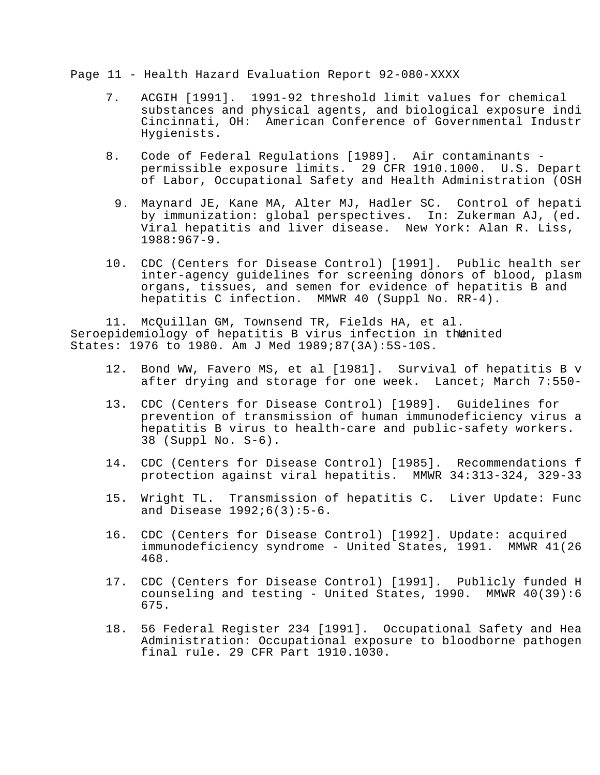Page 11 - Health Hazard Evaluation Report 92-080-XXXX

- 7. ACGIH [1991]. 1991-92 threshold limit values for chemical substances and physical agents, and biological exposure indi Cincinnati, OH: American Conference of Governmental Industr Hygienists.
- 8. Code of Federal Regulations [1989]. Air contaminants permissible exposure limits. 29 CFR 1910.1000. U.S. Depart of Labor, Occupational Safety and Health Administration (OSH
	- 9. Maynard JE, Kane MA, Alter MJ, Hadler SC. Control of hepati by immunization: global perspectives. In: Zukerman AJ, (ed.) Viral hepatitis and liver disease. New York: Alan R. Liss, 1988:967-9.
- 10. CDC (Centers for Disease Control) [1991]. Public health ser inter-agency quidelines for screening donors of blood, plasm organs, tissues, and semen for evidence of hepatitis B and hepatitis C infection. MMWR 40 (Suppl No. RR-4).

11. McQuillan GM, Townsend TR, Fields HA, et al. Seroepidemiology of hepatitis B virus infection in thenited States: 1976 to 1980. Am J Med 1989;87(3A):5S-10S.

- 12. Bond WW, Favero MS, et al [1981]. Survival of hepatitis B v after drying and storage for one week. Lancet; March 7:550-
- 13. CDC (Centers for Disease Control) [1989]. Guidelines for prevention of transmission of human immunodeficiency virus a hepatitis B virus to health-care and public-safety workers. 38 (Suppl No. S-6).
- 14. CDC (Centers for Disease Control) [1985]. Recommendations f protection against viral hepatitis. MMWR 34:313-324, 329-33
- 15. Wright TL. Transmission of hepatitis C. Liver Update: Func and Disease 1992;6(3):5-6.
- 16. CDC (Centers for Disease Control) [1992]. Update: acquired immunodeficiency syndrome - United States, 1991. MMWR 41(26) 468.
- 17. CDC (Centers for Disease Control) [1991]. Publicly funded H counseling and testing - United States,  $1990$ . MMWR  $40(39):6$ 675.
- 18. 56 Federal Register 234 [1991]. Occupational Safety and Hea Administration: Occupational exposure to bloodborne pathogen final rule. 29 CFR Part 1910.1030.